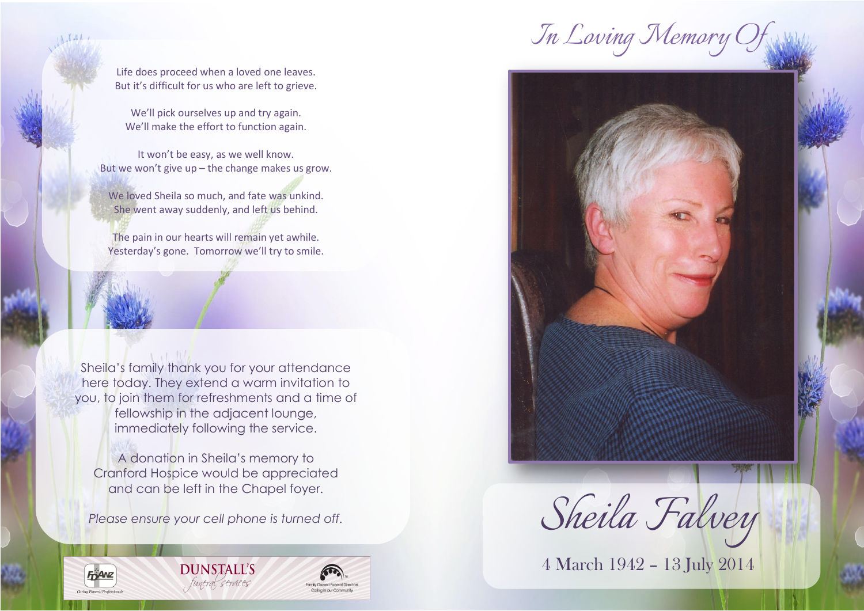*In Loving Memory Of*

Life does proceed when a loved one leaves. But it's difficult for us who are left to grieve.

We'll pick ourselves up and try again. We'll make the effort to function again.

It won't be easy, as we well know. But we won't give up – the change makes us grow.

We loved Sheila so much, and fate was unkind. She went away suddenly, and left us behind.

The pain in our hearts will remain yet awhile. Yesterday's gone. Tomorrow we'll try to smile.

Sheila's family thank you for your attendance here today. They extend a warm invitation to you, to join them for refreshments and a time of fellowship in the adjacent lounge, immediately following the service.

A donation in Sheila's memory to Cranford Hospice would be appreciated and can be left in the Chapel foyer.

*Please ensure your cell phone is turned off.*

**FRANZ** 





**THEFT** 

医白色性

4 March 1942 – 13 July 2014